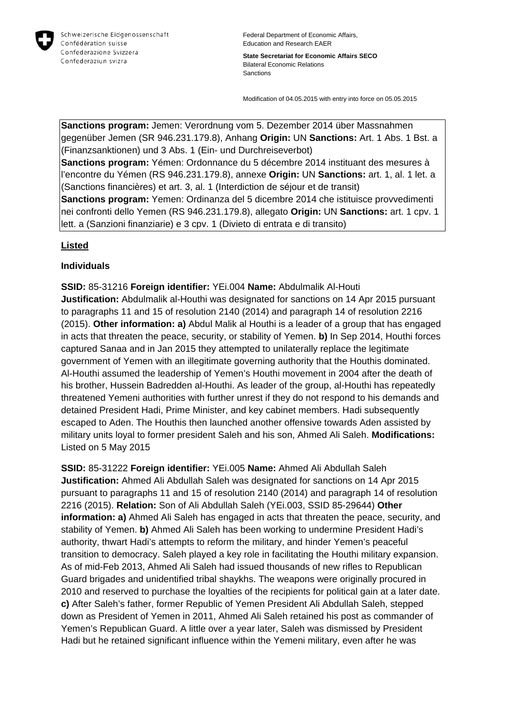

Federal Department of Economic Affairs, Education and Research EAER

**State Secretariat for Economic Affairs SECO** Bilateral Economic Relations Sanctions

Modification of 04.05.2015 with entry into force on 05.05.2015

**Sanctions program:** Jemen: Verordnung vom 5. Dezember 2014 über Massnahmen gegenüber Jemen (SR 946.231.179.8), Anhang **Origin:** UN **Sanctions:** Art. 1 Abs. 1 Bst. a (Finanzsanktionen) und 3 Abs. 1 (Ein- und Durchreiseverbot) **Sanctions program:** Yémen: Ordonnance du 5 décembre 2014 instituant des mesures à l'encontre du Yémen (RS 946.231.179.8), annexe **Origin:** UN **Sanctions:** art. 1, al. 1 let. a (Sanctions financières) et art. 3, al. 1 (Interdiction de séjour et de transit)

**Sanctions program:** Yemen: Ordinanza del 5 dicembre 2014 che istituisce provvedimenti nei confronti dello Yemen (RS 946.231.179.8), allegato **Origin:** UN **Sanctions:** art. 1 cpv. 1 lett. a (Sanzioni finanziarie) e 3 cpv. 1 (Divieto di entrata e di transito)

## **Listed**

## **Individuals**

**SSID:** 85-31216 **Foreign identifier:** YEi.004 **Name:** Abdulmalik Al-Houti **Justification:** Abdulmalik al-Houthi was designated for sanctions on 14 Apr 2015 pursuant to paragraphs 11 and 15 of resolution 2140 (2014) and paragraph 14 of resolution 2216 (2015). **Other information: a)** Abdul Malik al Houthi is a leader of a group that has engaged in acts that threaten the peace, security, or stability of Yemen. **b)** In Sep 2014, Houthi forces captured Sanaa and in Jan 2015 they attempted to unilaterally replace the legitimate government of Yemen with an illegitimate governing authority that the Houthis dominated. Al-Houthi assumed the leadership of Yemen's Houthi movement in 2004 after the death of his brother, Hussein Badredden al-Houthi. As leader of the group, al-Houthi has repeatedly threatened Yemeni authorities with further unrest if they do not respond to his demands and detained President Hadi, Prime Minister, and key cabinet members. Hadi subsequently escaped to Aden. The Houthis then launched another offensive towards Aden assisted by military units loyal to former president Saleh and his son, Ahmed Ali Saleh. **Modifications:**  Listed on 5 May 2015

**SSID:** 85-31222 **Foreign identifier:** YEi.005 **Name:** Ahmed Ali Abdullah Saleh **Justification:** Ahmed Ali Abdullah Saleh was designated for sanctions on 14 Apr 2015 pursuant to paragraphs 11 and 15 of resolution 2140 (2014) and paragraph 14 of resolution 2216 (2015). **Relation:** Son of Ali Abdullah Saleh (YEi.003, SSID 85-29644) **Other information: a)** Ahmed Ali Saleh has engaged in acts that threaten the peace, security, and stability of Yemen. **b)** Ahmed Ali Saleh has been working to undermine President Hadi's authority, thwart Hadi's attempts to reform the military, and hinder Yemen's peaceful transition to democracy. Saleh played a key role in facilitating the Houthi military expansion. As of mid-Feb 2013, Ahmed Ali Saleh had issued thousands of new rifles to Republican Guard brigades and unidentified tribal shaykhs. The weapons were originally procured in 2010 and reserved to purchase the loyalties of the recipients for political gain at a later date. **c)** After Saleh's father, former Republic of Yemen President Ali Abdullah Saleh, stepped down as President of Yemen in 2011, Ahmed Ali Saleh retained his post as commander of Yemen's Republican Guard. A little over a year later, Saleh was dismissed by President Hadi but he retained significant influence within the Yemeni military, even after he was